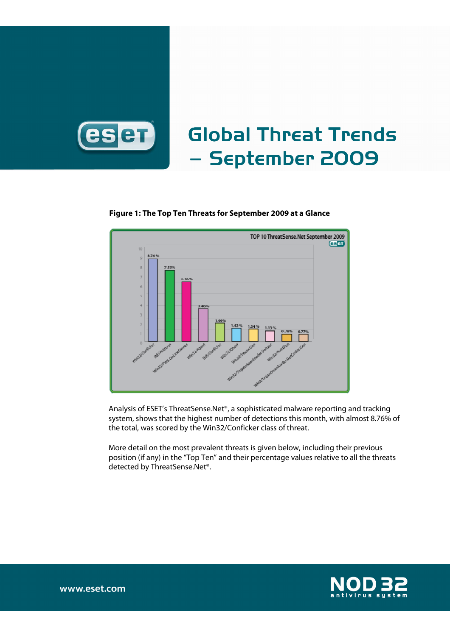

# Global Threat Trends – September 2009

### **Figure 1: The Top Ten Threats for September 2009 at a Glance**



Analysis of ESET's ThreatSense.Net®, a sophisticated malware reporting and tracking system, shows that the highest number of detections this month, with almost 8.76% of the total, was scored by the Win32/Conficker class of threat.

More detail on the most prevalent threats is given below, including their previous position (if any) in the "Top Ten" and their percentage values relative to all the threats detected by ThreatSense.Net®.

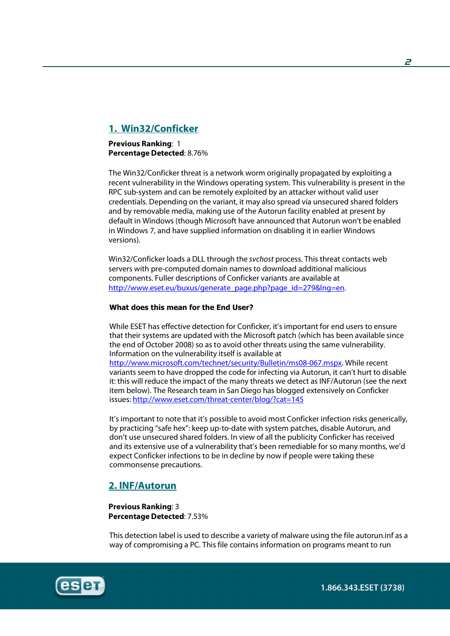# **1. Win32/Conficker**

**Previous Ranking**: 1 **Percentage Detected**: 8.76%

The Win32/Conficker threat is a network worm originally propagated by exploiting a recent vulnerability in the Windows operating system. This vulnerability is present in the RPC sub-system and can be remotely exploited by an attacker without valid user credentials. Depending on the variant, it may also spread via unsecured shared folders and by removable media, making use of the Autorun facility enabled at present by default in Windows (though Microsoft have announced that Autorun won't be enabled in Windows 7, and have supplied information on disabling it in earlier Windows versions).

Win32/Conficker loads a DLL through the svchost process. This threat contacts web servers with pre-computed domain names to download additional malicious components. Fuller descriptions of Conficker variants are available at http://www.eset.eu/buxus/generate\_page.php?page\_id=279&lng=en.

### What does this mean for the End User?

While ESET has effective detection for Conficker, it's important for end users to ensure that their systems are updated with the Microsoft patch (which has been available since the end of October 2008) so as to avoid other threats using the same vulnerability. Information on the vulnerability itself is available at

http://www.microsoft.com/technet/security/Bulletin/ms08-067.mspx. While recent variants seem to have dropped the code for infecting via Autorun, it can't hurt to disable it: this will reduce the impact of the many threats we detect as INF/Autorun (see the next item below). The Research team in San Diego has blogged extensively on Conficker issues: http://www.eset.com/threat-center/blog/?cat=145

It's important to note that it's possible to avoid most Conficker infection risks generically, by practicing "safe hex": keep up-to-date with system patches, disable Autorun, and don't use unsecured shared folders. In view of all the publicity Conficker has received and its extensive use of a vulnerability that's been remediable for so many months, we'd expect Conficker infections to be in decline by now if people were taking these commonsense precautions.

### **2. INF/Autorun**

**Previous Ranking**: 3 **Percentage Detected**: 7.53%

This detection label is used to describe a variety of malware using the file autorun.inf as a way of compromising a PC. This file contains information on programs meant to run

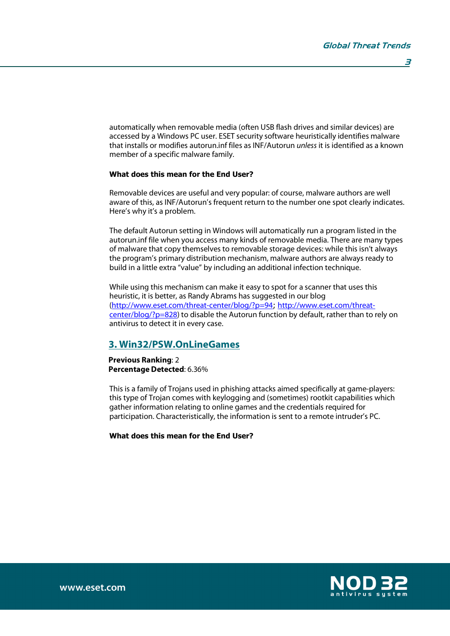automatically when removable media (often USB flash drives and similar devices) are accessed by a Windows PC user. ESET security software heuristically identifies malware that installs or modifies autorun.inf files as INF/Autorun unless it is identified as a known member of a specific malware family.

### What does this mean for the End User?

Removable devices are useful and very popular: of course, malware authors are well aware of this, as INF/Autorun's frequent return to the number one spot clearly indicates. Here's why it's a problem.

The default Autorun setting in Windows will automatically run a program listed in the autorun.inf file when you access many kinds of removable media. There are many types of malware that copy themselves to removable storage devices: while this isn't always the program's primary distribution mechanism, malware authors are always ready to build in a little extra "value" by including an additional infection technique.

While using this mechanism can make it easy to spot for a scanner that uses this heuristic, it is better, as Randy Abrams has suggested in our blog (http://www.eset.com/threat-center/blog/?p=94; http://www.eset.com/threatcenter/blog/?p=828) to disable the Autorun function by default, rather than to rely on antivirus to detect it in every case.

### **3. Win32/PSW.OnLineGames**

**Previous Ranking**: 2 **Percentage Detected**: 6.36%

This is a family of Trojans used in phishing attacks aimed specifically at game-players: this type of Trojan comes with keylogging and (sometimes) rootkit capabilities which gather information relating to online games and the credentials required for participation. Characteristically, the information is sent to a remote intruder's PC.

What does this mean for the End User?



www.eset.com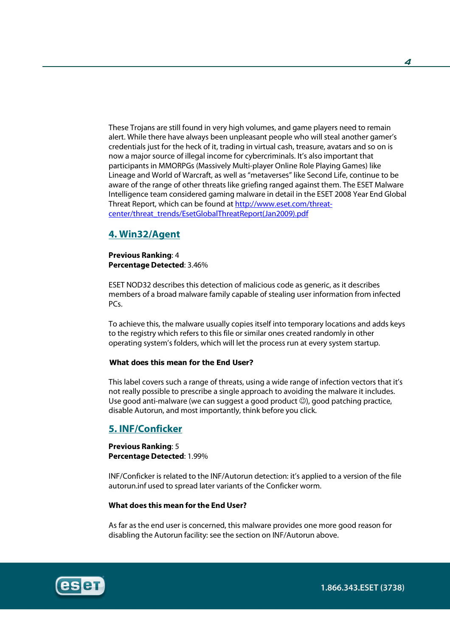These Trojans are still found in very high volumes, and game players need to remain alert. While there have always been unpleasant people who will steal another gamer's credentials just for the heck of it, trading in virtual cash, treasure, avatars and so on is now a major source of illegal income for cybercriminals. It's also important that participants in MMORPGs (Massively Multi-player Online Role Playing Games) like Lineage and World of Warcraft, as well as "metaverses" like Second Life, continue to be aware of the range of other threats like griefing ranged against them. The ESET Malware Intelligence team considered gaming malware in detail in the ESET 2008 Year End Global Threat Report, which can be found at http://www.eset.com/threatcenter/threat\_trends/EsetGlobalThreatReport(Jan2009).pdf

### **4. Win32/Agent**

### **Previous Ranking**: 4 **Percentage Detected**: 3.46%

ESET NOD32 describes this detection of malicious code as generic, as it describes members of a broad malware family capable of stealing user information from infected PCs.

To achieve this, the malware usually copies itself into temporary locations and adds keys to the registry which refers to this file or similar ones created randomly in other operating system's folders, which will let the process run at every system startup.

#### What does this mean for the End User?

This label covers such a range of threats, using a wide range of infection vectors that it's not really possible to prescribe a single approach to avoiding the malware it includes. Use good anti-malware (we can suggest a good product  $\mathcal{O}$ ), good patching practice, disable Autorun, and most importantly, think before you click.

### **5. INF/Conficker**

**Previous Ranking**: 5 **Percentage Detected**: 1.99%

INF/Conficker is related to the INF/Autorun detection: it's applied to a version of the file autorun.inf used to spread later variants of the Conficker worm.

### **What does this mean for the End User?**

As far as the end user is concerned, this malware provides one more good reason for disabling the Autorun facility: see the section on INF/Autorun above.

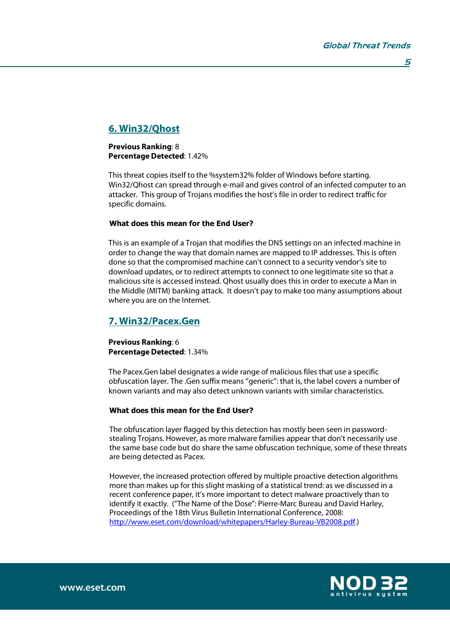# **6. Win32/Qhost**

### **Previous Ranking**: 8 **Percentage Detected**: 1.42%

This threat copies itself to the %system32% folder of Windows before starting. Win32/Qhost can spread through e-mail and gives control of an infected computer to an attacker. This group of Trojans modifies the host's file in order to redirect traffic for specific domains.

### What does this mean for the End User?

This is an example of a Trojan that modifies the DNS settings on an infected machine in order to change the way that domain names are mapped to IP addresses. This is often done so that the compromised machine can't connect to a security vendor's site to download updates, or to redirect attempts to connect to one legitimate site so that a malicious site is accessed instead. Qhost usually does this in order to execute a Man in the Middle (MITM) banking attack. It doesn't pay to make too many assumptions about where you are on the Internet.

## **7. Win32/Pacex.Gen**

**Previous Ranking**: 6 **Percentage Detected**: 1.34%

The Pacex.Gen label designates a wide range of malicious files that use a specific obfuscation layer. The .Gen suffix means "generic": that is, the label covers a number of known variants and may also detect unknown variants with similar characteristics.

### What does this mean for the End User?

The obfuscation layer flagged by this detection has mostly been seen in passwordstealing Trojans. However, as more malware families appear that don't necessarily use the same base code but do share the same obfuscation technique, some of these threats are being detected as Pacex.

However, the increased protection offered by multiple proactive detection algorithms more than makes up for this slight masking of a statistical trend: as we discussed in a recent conference paper, it's more important to detect malware proactively than to identify it exactly. ("The Name of the Dose": Pierre-Marc Bureau and David Harley, Proceedings of the 18th Virus Bulletin International Conference, 2008: http://www.eset.com/download/whitepapers/Harley-Bureau-VB2008.pdf.)

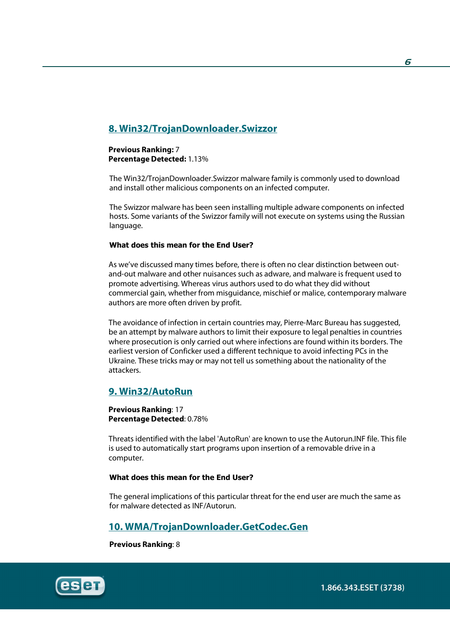# **8. Win32/TrojanDownloader.Swizzor**

### **Previous Ranking:** 7 **Percentage Detected:** 1.13%

The Win32/TrojanDownloader.Swizzor malware family is commonly used to download and install other malicious components on an infected computer.

The Swizzor malware has been seen installing multiple adware components on infected hosts. Some variants of the Swizzor family will not execute on systems using the Russian language.

### What does this mean for the End User?

As we've discussed many times before, there is often no clear distinction between outand-out malware and other nuisances such as adware, and malware is frequent used to promote advertising. Whereas virus authors used to do what they did without commercial gain, whether from misguidance, mischief or malice, contemporary malware authors are more often driven by profit.

The avoidance of infection in certain countries may, Pierre-Marc Bureau has suggested, be an attempt by malware authors to limit their exposure to legal penalties in countries where prosecution is only carried out where infections are found within its borders. The earliest version of Conficker used a different technique to avoid infecting PCs in the Ukraine. These tricks may or may not tell us something about the nationality of the attackers.

### **9. Win32/AutoRun**

**Previous Ranking**: 17 **Percentage Detected**: 0.78%

Threats identified with the label 'AutoRun' are known to use the Autorun.INF file. This file is used to automatically start programs upon insertion of a removable drive in a computer.

### What does this mean for the End User?

The general implications of this particular threat for the end user are much the same as for malware detected as INF/Autorun.

### **10. WMA/TrojanDownloader.GetCodec.Gen**

**Previous Ranking**: 8

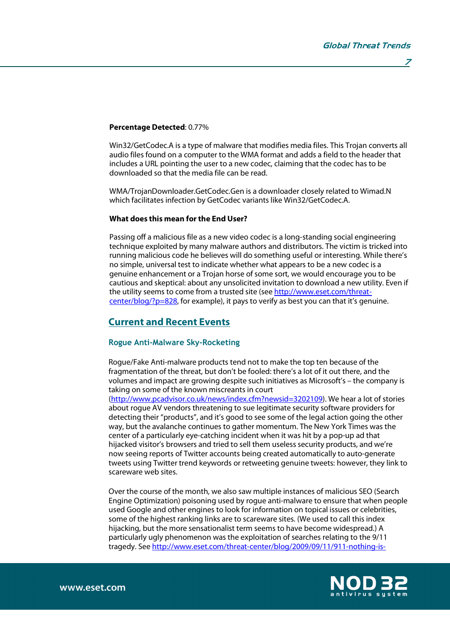#### **Percentage Detected**: 0.77%

Win32/GetCodec.A is a type of malware that modifies media files. This Trojan converts all audio files found on a computer to the WMA format and adds a field to the header that includes a URL pointing the user to a new codec, claiming that the codec has to be downloaded so that the media file can be read.

WMA/TrojanDownloader.GetCodec.Gen is a downloader closely related to Wimad.N which facilitates infection by GetCodec variants like Win32/GetCodec.A.

### **What does this mean for the End User?**

Passing off a malicious file as a new video codec is a long-standing social engineering technique exploited by many malware authors and distributors. The victim is tricked into running malicious code he believes will do something useful or interesting. While there's no simple, universal test to indicate whether what appears to be a new codec is a genuine enhancement or a Trojan horse of some sort, we would encourage you to be cautious and skeptical: about any unsolicited invitation to download a new utility. Even if the utility seems to come from a trusted site (see http://www.eset.com/threatcenter/blog/?p=828, for example), it pays to verify as best you can that it's genuine.

### **Current and Recent Events**

#### Rogue Anti-Malware Sky-Rocketing

Rogue/Fake Anti-malware products tend not to make the top ten because of the fragmentation of the threat, but don't be fooled: there's a lot of it out there, and the volumes and impact are growing despite such initiatives as Microsoft's – the company is taking on some of the known miscreants in court

(http://www.pcadvisor.co.uk/news/index.cfm?newsid=3202109). We hear a lot of stories about rogue AV vendors threatening to sue legitimate security software providers for detecting their "products", and it's good to see some of the legal action going the other way, but the avalanche continues to gather momentum. The New York Times was the center of a particularly eye-catching incident when it was hit by a pop-up ad that hijacked visitor's browsers and tried to sell them useless security products, and we're now seeing reports of Twitter accounts being created automatically to auto-generate tweets using Twitter trend keywords or retweeting genuine tweets: however, they link to scareware web sites.

Over the course of the month, we also saw multiple instances of malicious SEO (Search Engine Optimization) poisoning used by rogue anti-malware to ensure that when people used Google and other engines to look for information on topical issues or celebrities, some of the highest ranking links are to scareware sites. (We used to call this index hijacking, but the more sensationalist term seems to have become widespread.) A particularly ugly phenomenon was the exploitation of searches relating to the 9/11 tragedy. See http://www.eset.com/threat-center/blog/2009/09/11/911-nothing-is-

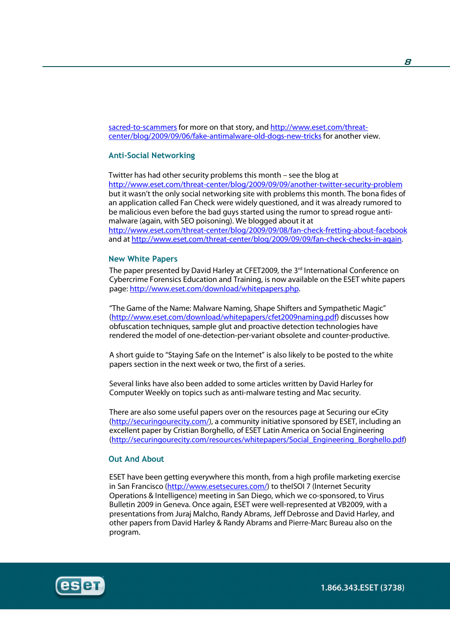sacred-to-scammers for more on that story, and http://www.eset.com/threatcenter/blog/2009/09/06/fake-antimalware-old-dogs-new-tricks for another view.

### Anti-Social Networking

Twitter has had other security problems this month – see the blog at http://www.eset.com/threat-center/blog/2009/09/09/another-twitter-security-problem but it wasn't the only social networking site with problems this month. The bona fides of an application called Fan Check were widely questioned, and it was already rumored to be malicious even before the bad guys started using the rumor to spread rogue antimalware (again, with SEO poisoning). We blogged about it at http://www.eset.com/threat-center/blog/2009/09/08/fan-check-fretting-about-facebook and at http://www.eset.com/threat-center/blog/2009/09/09/fan-check-checks-in-again.

#### New White Papers

The paper presented by David Harley at CFET2009, the  $3<sup>rd</sup>$  International Conference on Cybercrime Forensics Education and Training, is now available on the ESET white papers page: http://www.eset.com/download/whitepapers.php.

"The Game of the Name: Malware Naming, Shape Shifters and Sympathetic Magic" (http://www.eset.com/download/whitepapers/cfet2009naming.pdf) discusses how obfuscation techniques, sample glut and proactive detection technologies have rendered the model of one-detection-per-variant obsolete and counter-productive.

A short guide to "Staying Safe on the Internet" is also likely to be posted to the white papers section in the next week or two, the first of a series.

Several links have also been added to some articles written by David Harley for Computer Weekly on topics such as anti-malware testing and Mac security.

There are also some useful papers over on the resources page at Securing our eCity (http://securingourecity.com/), a community initiative sponsored by ESET, including an excellent paper by Cristian Borghello, of ESET Latin America on Social Engineering (http://securingourecity.com/resources/whitepapers/Social\_Engineering\_Borghello.pdf)

### Out And About

ESET have been getting everywhere this month, from a high profile marketing exercise in San Francisco (http://www.esetsecures.com/) to theISOI 7 (Internet Security Operations & Intelligence) meeting in San Diego, which we co-sponsored, to Virus Bulletin 2009 in Geneva. Once again, ESET were well-represented at VB2009, with a presentations from Juraj Malcho, Randy Abrams, Jeff Debrosse and David Harley, and other papers from David Harley & Randy Abrams and Pierre-Marc Bureau also on the program.